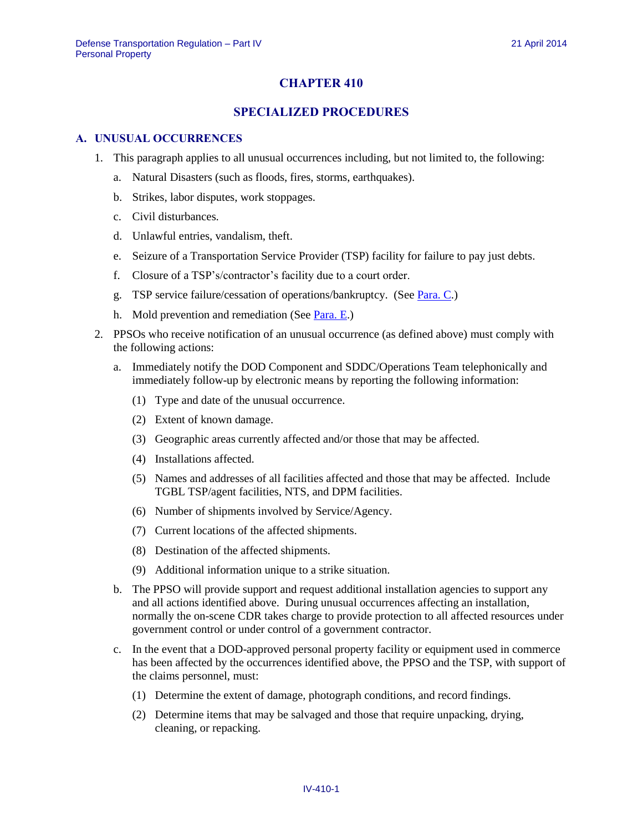## **CHAPTER 410**

## **SPECIALIZED PROCEDURES**

#### **A. UNUSUAL OCCURRENCES**

- 1. This paragraph applies to all unusual occurrences including, but not limited to, the following:
	- a. Natural Disasters (such as floods, fires, storms, earthquakes).
	- b. Strikes, labor disputes, work stoppages.
	- c. Civil disturbances.
	- d. Unlawful entries, vandalism, theft.
	- e. Seizure of a Transportation Service Provider (TSP) facility for failure to pay just debts.
	- f. Closure of a TSP's/contractor's facility due to a court order.
	- g. TSP service failure/cessation of operations/bankruptcy. (See [Para.](#page-5-0) C.)
	- h. Mold prevention and remediation (Se[e Para.](#page-9-0) E.)
- <span id="page-0-0"></span>2. PPSOs who receive notification of an unusual occurrence (as defined above) must comply with the following actions:
	- a. Immediately notify the DOD Component and SDDC/Operations Team telephonically and immediately follow-up by electronic means by reporting the following information:
		- (1) Type and date of the unusual occurrence.
		- (2) Extent of known damage.
		- (3) Geographic areas currently affected and/or those that may be affected.
		- (4) Installations affected.
		- (5) Names and addresses of all facilities affected and those that may be affected. Include TGBL TSP/agent facilities, NTS, and DPM facilities.
		- (6) Number of shipments involved by Service/Agency.
		- (7) Current locations of the affected shipments.
		- (8) Destination of the affected shipments.
		- (9) Additional information unique to a strike situation.
	- b. The PPSO will provide support and request additional installation agencies to support any and all actions identified above. During unusual occurrences affecting an installation, normally the on-scene CDR takes charge to provide protection to all affected resources under government control or under control of a government contractor.
	- c. In the event that a DOD-approved personal property facility or equipment used in commerce has been affected by the occurrences identified above, the PPSO and the TSP, with support of the claims personnel, must:
		- (1) Determine the extent of damage, photograph conditions, and record findings.
		- (2) Determine items that may be salvaged and those that require unpacking, drying, cleaning, or repacking.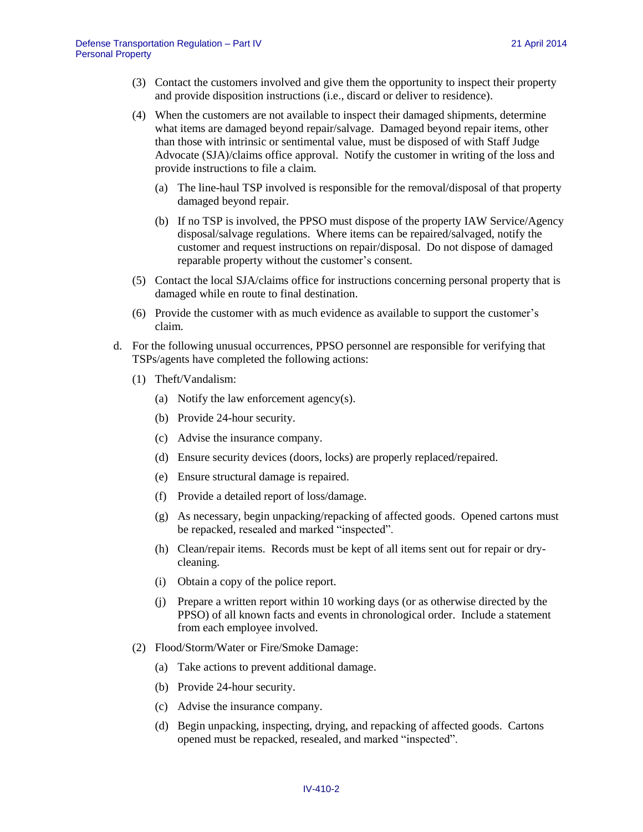- (3) Contact the customers involved and give them the opportunity to inspect their property and provide disposition instructions (i.e., discard or deliver to residence).
- (4) When the customers are not available to inspect their damaged shipments, determine what items are damaged beyond repair/salvage. Damaged beyond repair items, other than those with intrinsic or sentimental value, must be disposed of with Staff Judge Advocate (SJA)/claims office approval. Notify the customer in writing of the loss and provide instructions to file a claim.
	- (a) The line-haul TSP involved is responsible for the removal/disposal of that property damaged beyond repair.
	- (b) If no TSP is involved, the PPSO must dispose of the property IAW Service/Agency disposal/salvage regulations. Where items can be repaired/salvaged, notify the customer and request instructions on repair/disposal. Do not dispose of damaged reparable property without the customer's consent.
- (5) Contact the local SJA/claims office for instructions concerning personal property that is damaged while en route to final destination.
- (6) Provide the customer with as much evidence as available to support the customer's claim.
- d. For the following unusual occurrences, PPSO personnel are responsible for verifying that TSPs/agents have completed the following actions:
	- (1) Theft/Vandalism:
		- (a) Notify the law enforcement agency(s).
		- (b) Provide 24-hour security.
		- (c) Advise the insurance company.
		- (d) Ensure security devices (doors, locks) are properly replaced/repaired.
		- (e) Ensure structural damage is repaired.
		- (f) Provide a detailed report of loss/damage.
		- (g) As necessary, begin unpacking/repacking of affected goods. Opened cartons must be repacked, resealed and marked "inspected".
		- (h) Clean/repair items. Records must be kept of all items sent out for repair or drycleaning.
		- (i) Obtain a copy of the police report.
		- (j) Prepare a written report within 10 working days (or as otherwise directed by the PPSO) of all known facts and events in chronological order. Include a statement from each employee involved.
	- (2) Flood/Storm/Water or Fire/Smoke Damage:
		- (a) Take actions to prevent additional damage.
		- (b) Provide 24-hour security.
		- (c) Advise the insurance company.
		- (d) Begin unpacking, inspecting, drying, and repacking of affected goods. Cartons opened must be repacked, resealed, and marked "inspected".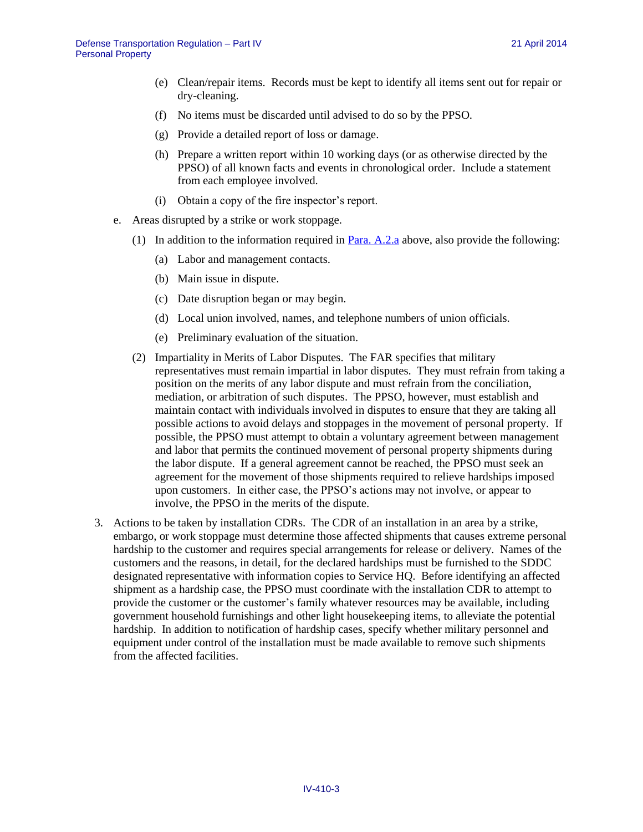- (e) Clean/repair items. Records must be kept to identify all items sent out for repair or dry-cleaning.
- (f) No items must be discarded until advised to do so by the PPSO.
- (g) Provide a detailed report of loss or damage.
- (h) Prepare a written report within 10 working days (or as otherwise directed by the PPSO) of all known facts and events in chronological order. Include a statement from each employee involved.
- (i) Obtain a copy of the fire inspector's report.
- e. Areas disrupted by a strike or work stoppage.
	- (1) In addition to the information required in [Para.](#page-0-0) A.2.a above, also provide the following:
		- (a) Labor and management contacts.
		- (b) Main issue in dispute.
		- (c) Date disruption began or may begin.
		- (d) Local union involved, names, and telephone numbers of union officials.
		- (e) Preliminary evaluation of the situation.
	- (2) Impartiality in Merits of Labor Disputes. The FAR specifies that military representatives must remain impartial in labor disputes. They must refrain from taking a position on the merits of any labor dispute and must refrain from the conciliation, mediation, or arbitration of such disputes. The PPSO, however, must establish and maintain contact with individuals involved in disputes to ensure that they are taking all possible actions to avoid delays and stoppages in the movement of personal property. If possible, the PPSO must attempt to obtain a voluntary agreement between management and labor that permits the continued movement of personal property shipments during the labor dispute. If a general agreement cannot be reached, the PPSO must seek an agreement for the movement of those shipments required to relieve hardships imposed upon customers. In either case, the PPSO's actions may not involve, or appear to involve, the PPSO in the merits of the dispute.
- 3. Actions to be taken by installation CDRs. The CDR of an installation in an area by a strike, embargo, or work stoppage must determine those affected shipments that causes extreme personal hardship to the customer and requires special arrangements for release or delivery. Names of the customers and the reasons, in detail, for the declared hardships must be furnished to the SDDC designated representative with information copies to Service HQ. Before identifying an affected shipment as a hardship case, the PPSO must coordinate with the installation CDR to attempt to provide the customer or the customer's family whatever resources may be available, including government household furnishings and other light housekeeping items, to alleviate the potential hardship. In addition to notification of hardship cases, specify whether military personnel and equipment under control of the installation must be made available to remove such shipments from the affected facilities.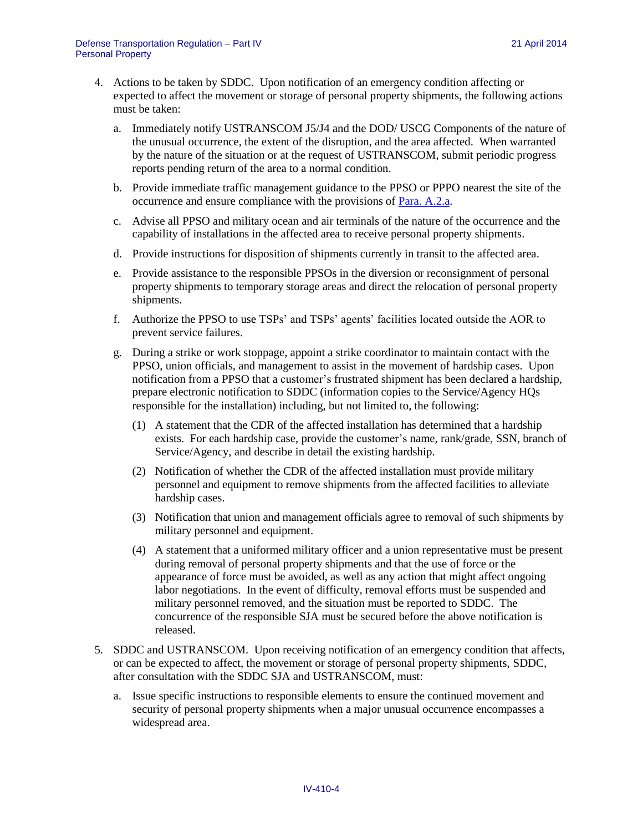- 4. Actions to be taken by SDDC. Upon notification of an emergency condition affecting or expected to affect the movement or storage of personal property shipments, the following actions must be taken:
	- a. Immediately notify USTRANSCOM J5/J4 and the DOD/ USCG Components of the nature of the unusual occurrence, the extent of the disruption, and the area affected. When warranted by the nature of the situation or at the request of USTRANSCOM, submit periodic progress reports pending return of the area to a normal condition.
	- b. Provide immediate traffic management guidance to the PPSO or PPPO nearest the site of the occurrence and ensure compliance with the provisions of [Para. A.2.a.](#page-0-0)
	- c. Advise all PPSO and military ocean and air terminals of the nature of the occurrence and the capability of installations in the affected area to receive personal property shipments.
	- d. Provide instructions for disposition of shipments currently in transit to the affected area.
	- e. Provide assistance to the responsible PPSOs in the diversion or reconsignment of personal property shipments to temporary storage areas and direct the relocation of personal property shipments.
	- f. Authorize the PPSO to use TSPs' and TSPs' agents' facilities located outside the AOR to prevent service failures.
	- g. During a strike or work stoppage, appoint a strike coordinator to maintain contact with the PPSO, union officials, and management to assist in the movement of hardship cases. Upon notification from a PPSO that a customer's frustrated shipment has been declared a hardship, prepare electronic notification to SDDC (information copies to the Service/Agency HQs responsible for the installation) including, but not limited to, the following:
		- (1) A statement that the CDR of the affected installation has determined that a hardship exists. For each hardship case, provide the customer's name, rank/grade, SSN, branch of Service/Agency, and describe in detail the existing hardship.
		- (2) Notification of whether the CDR of the affected installation must provide military personnel and equipment to remove shipments from the affected facilities to alleviate hardship cases.
		- (3) Notification that union and management officials agree to removal of such shipments by military personnel and equipment.
		- (4) A statement that a uniformed military officer and a union representative must be present during removal of personal property shipments and that the use of force or the appearance of force must be avoided, as well as any action that might affect ongoing labor negotiations. In the event of difficulty, removal efforts must be suspended and military personnel removed, and the situation must be reported to SDDC. The concurrence of the responsible SJA must be secured before the above notification is released.
- 5. SDDC and USTRANSCOM. Upon receiving notification of an emergency condition that affects, or can be expected to affect, the movement or storage of personal property shipments, SDDC, after consultation with the SDDC SJA and USTRANSCOM, must:
	- a. Issue specific instructions to responsible elements to ensure the continued movement and security of personal property shipments when a major unusual occurrence encompasses a widespread area.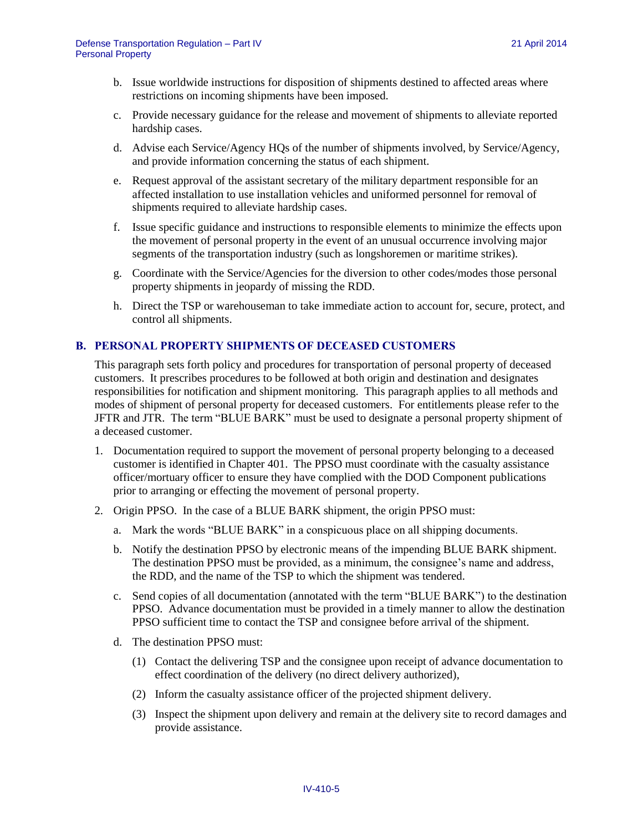- b. Issue worldwide instructions for disposition of shipments destined to affected areas where restrictions on incoming shipments have been imposed.
- c. Provide necessary guidance for the release and movement of shipments to alleviate reported hardship cases.
- d. Advise each Service/Agency HQs of the number of shipments involved, by Service/Agency, and provide information concerning the status of each shipment.
- e. Request approval of the assistant secretary of the military department responsible for an affected installation to use installation vehicles and uniformed personnel for removal of shipments required to alleviate hardship cases.
- f. Issue specific guidance and instructions to responsible elements to minimize the effects upon the movement of personal property in the event of an unusual occurrence involving major segments of the transportation industry (such as longshoremen or maritime strikes).
- g. Coordinate with the Service/Agencies for the diversion to other codes/modes those personal property shipments in jeopardy of missing the RDD.
- h. Direct the TSP or warehouseman to take immediate action to account for, secure, protect, and control all shipments.

#### **B. PERSONAL PROPERTY SHIPMENTS OF DECEASED CUSTOMERS**

This paragraph sets forth policy and procedures for transportation of personal property of deceased customers. It prescribes procedures to be followed at both origin and destination and designates responsibilities for notification and shipment monitoring. This paragraph applies to all methods and modes of shipment of personal property for deceased customers. For entitlements please refer to the JFTR and JTR. The term "BLUE BARK" must be used to designate a personal property shipment of a deceased customer.

- 1. Documentation required to support the movement of personal property belonging to a deceased customer is identified in Chapter 401. The PPSO must coordinate with the casualty assistance officer/mortuary officer to ensure they have complied with the DOD Component publications prior to arranging or effecting the movement of personal property.
- 2. Origin PPSO. In the case of a BLUE BARK shipment, the origin PPSO must:
	- a. Mark the words "BLUE BARK" in a conspicuous place on all shipping documents.
	- b. Notify the destination PPSO by electronic means of the impending BLUE BARK shipment. The destination PPSO must be provided, as a minimum, the consignee's name and address, the RDD, and the name of the TSP to which the shipment was tendered.
	- c. Send copies of all documentation (annotated with the term "BLUE BARK") to the destination PPSO. Advance documentation must be provided in a timely manner to allow the destination PPSO sufficient time to contact the TSP and consignee before arrival of the shipment.
	- d. The destination PPSO must:
		- (1) Contact the delivering TSP and the consignee upon receipt of advance documentation to effect coordination of the delivery (no direct delivery authorized),
		- (2) Inform the casualty assistance officer of the projected shipment delivery.
		- (3) Inspect the shipment upon delivery and remain at the delivery site to record damages and provide assistance.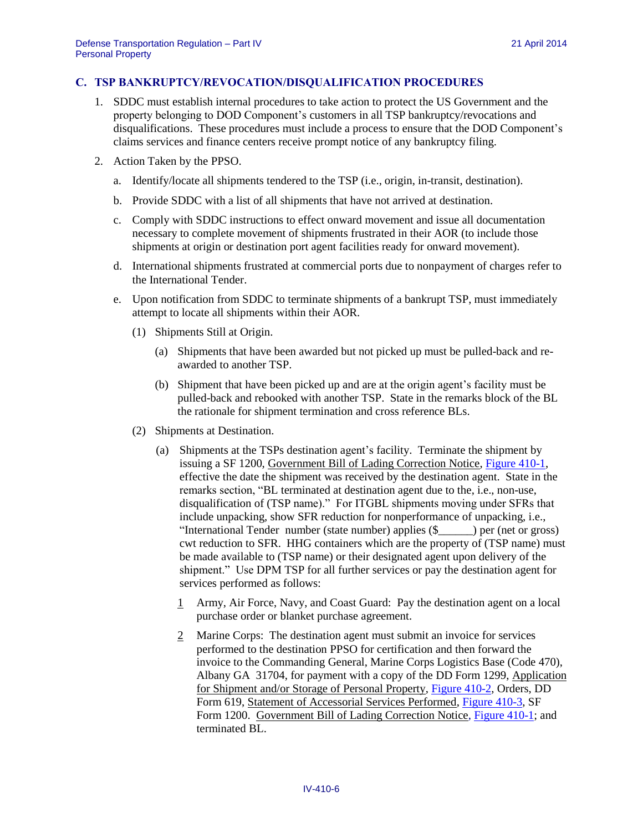#### <span id="page-5-0"></span>**C. TSP BANKRUPTCY/REVOCATION/DISQUALIFICATION PROCEDURES**

- 1. SDDC must establish internal procedures to take action to protect the US Government and the property belonging to DOD Component's customers in all TSP bankruptcy/revocations and disqualifications. These procedures must include a process to ensure that the DOD Component's claims services and finance centers receive prompt notice of any bankruptcy filing.
- 2. Action Taken by the PPSO.
	- a. Identify/locate all shipments tendered to the TSP (i.e., origin, in-transit, destination).
	- b. Provide SDDC with a list of all shipments that have not arrived at destination.
	- c. Comply with SDDC instructions to effect onward movement and issue all documentation necessary to complete movement of shipments frustrated in their AOR (to include those shipments at origin or destination port agent facilities ready for onward movement).
	- d. International shipments frustrated at commercial ports due to nonpayment of charges refer to the International Tender.
	- e. Upon notification from SDDC to terminate shipments of a bankrupt TSP, must immediately attempt to locate all shipments within their AOR.
		- (1) Shipments Still at Origin.
			- (a) Shipments that have been awarded but not picked up must be pulled-back and reawarded to another TSP.
			- (b) Shipment that have been picked up and are at the origin agent's facility must be pulled-back and rebooked with another TSP. State in the remarks block of the BL the rationale for shipment termination and cross reference BLs.
		- (2) Shipments at Destination.
			- (a) Shipments at the TSPs destination agent's facility. Terminate the shipment by issuing a SF 1200, Government Bill of Lading Correction Notice, [Figure 410-1,](#page-12-0) effective the date the shipment was received by the destination agent. State in the remarks section, "BL terminated at destination agent due to the, i.e., non-use, disqualification of (TSP name)." For ITGBL shipments moving under SFRs that include unpacking, show SFR reduction for nonperformance of unpacking, i.e., "International Tender number (state number) applies (\$\_\_\_\_\_\_) per (net or gross) cwt reduction to SFR. HHG containers which are the property of (TSP name) must be made available to (TSP name) or their designated agent upon delivery of the shipment." Use DPM TSP for all further services or pay the destination agent for services performed as follows:
				- 1 Army, Air Force, Navy, and Coast Guard: Pay the destination agent on a local purchase order or blanket purchase agreement.
				- 2 Marine Corps: The destination agent must submit an invoice for services performed to the destination PPSO for certification and then forward the invoice to the Commanding General, Marine Corps Logistics Base (Code 470), Albany GA 31704, for payment with a copy of the DD Form 1299, Application for Shipment and/or Storage of Personal Property, [Figure 410-2,](#page-13-0) Orders, DD Form 619, Statement of Accessorial Services Performed, [Figure 410-3,](#page-14-0) SF Form 1200. Government Bill of Lading Correction Notice, [Figure 410-1;](#page-12-0) and terminated BL.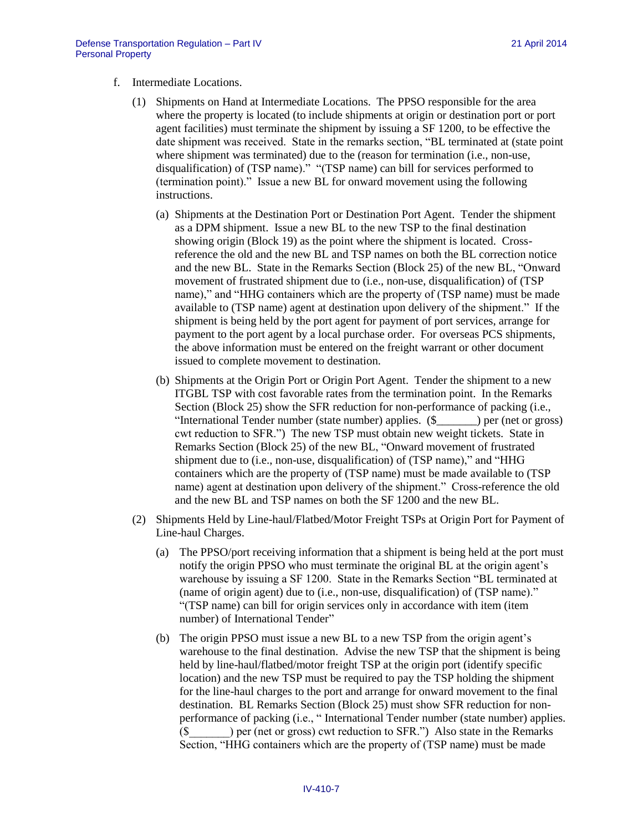- f. Intermediate Locations.
	- (1) Shipments on Hand at Intermediate Locations. The PPSO responsible for the area where the property is located (to include shipments at origin or destination port or port agent facilities) must terminate the shipment by issuing a SF 1200, to be effective the date shipment was received. State in the remarks section, "BL terminated at (state point where shipment was terminated) due to the (reason for termination (i.e., non-use, disqualification) of (TSP name)." "(TSP name) can bill for services performed to (termination point)." Issue a new BL for onward movement using the following instructions.
		- (a) Shipments at the Destination Port or Destination Port Agent. Tender the shipment as a DPM shipment. Issue a new BL to the new TSP to the final destination showing origin (Block 19) as the point where the shipment is located. Crossreference the old and the new BL and TSP names on both the BL correction notice and the new BL. State in the Remarks Section (Block 25) of the new BL, "Onward movement of frustrated shipment due to (i.e., non-use, disqualification) of (TSP name)," and "HHG containers which are the property of (TSP name) must be made available to (TSP name) agent at destination upon delivery of the shipment." If the shipment is being held by the port agent for payment of port services, arrange for payment to the port agent by a local purchase order. For overseas PCS shipments, the above information must be entered on the freight warrant or other document issued to complete movement to destination.
		- (b) Shipments at the Origin Port or Origin Port Agent. Tender the shipment to a new ITGBL TSP with cost favorable rates from the termination point. In the Remarks Section (Block 25) show the SFR reduction for non-performance of packing (i.e., "International Tender number (state number) applies. (\$\_\_\_\_\_\_\_) per (net or gross) cwt reduction to SFR.") The new TSP must obtain new weight tickets. State in Remarks Section (Block 25) of the new BL, "Onward movement of frustrated shipment due to (i.e., non-use, disqualification) of (TSP name)," and "HHG containers which are the property of (TSP name) must be made available to (TSP name) agent at destination upon delivery of the shipment." Cross-reference the old and the new BL and TSP names on both the SF 1200 and the new BL.
	- (2) Shipments Held by Line-haul/Flatbed/Motor Freight TSPs at Origin Port for Payment of Line-haul Charges.
		- (a) The PPSO/port receiving information that a shipment is being held at the port must notify the origin PPSO who must terminate the original BL at the origin agent's warehouse by issuing a SF 1200. State in the Remarks Section "BL terminated at (name of origin agent) due to (i.e., non-use, disqualification) of (TSP name)." "(TSP name) can bill for origin services only in accordance with item (item number) of International Tender"
		- (b) The origin PPSO must issue a new BL to a new TSP from the origin agent's warehouse to the final destination. Advise the new TSP that the shipment is being held by line-haul/flatbed/motor freight TSP at the origin port (identify specific location) and the new TSP must be required to pay the TSP holding the shipment for the line-haul charges to the port and arrange for onward movement to the final destination. BL Remarks Section (Block 25) must show SFR reduction for nonperformance of packing (i.e., " International Tender number (state number) applies. (\$\_\_\_\_\_\_\_) per (net or gross) cwt reduction to SFR.") Also state in the Remarks Section, "HHG containers which are the property of (TSP name) must be made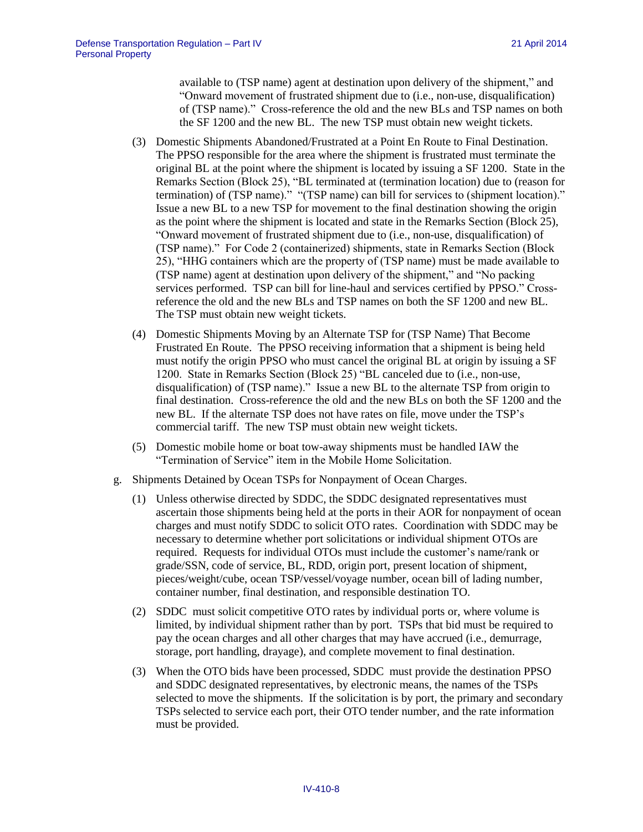available to (TSP name) agent at destination upon delivery of the shipment," and "Onward movement of frustrated shipment due to (i.e., non-use, disqualification) of (TSP name)." Cross-reference the old and the new BLs and TSP names on both the SF 1200 and the new BL. The new TSP must obtain new weight tickets.

- (3) Domestic Shipments Abandoned/Frustrated at a Point En Route to Final Destination. The PPSO responsible for the area where the shipment is frustrated must terminate the original BL at the point where the shipment is located by issuing a SF 1200. State in the Remarks Section (Block 25), "BL terminated at (termination location) due to (reason for termination) of (TSP name)." "(TSP name) can bill for services to (shipment location)." Issue a new BL to a new TSP for movement to the final destination showing the origin as the point where the shipment is located and state in the Remarks Section (Block 25), "Onward movement of frustrated shipment due to (i.e., non-use, disqualification) of (TSP name)." For Code 2 (containerized) shipments, state in Remarks Section (Block 25), "HHG containers which are the property of (TSP name) must be made available to (TSP name) agent at destination upon delivery of the shipment," and "No packing services performed. TSP can bill for line-haul and services certified by PPSO." Crossreference the old and the new BLs and TSP names on both the SF 1200 and new BL. The TSP must obtain new weight tickets.
- (4) Domestic Shipments Moving by an Alternate TSP for (TSP Name) That Become Frustrated En Route. The PPSO receiving information that a shipment is being held must notify the origin PPSO who must cancel the original BL at origin by issuing a SF 1200. State in Remarks Section (Block 25) "BL canceled due to (i.e., non-use, disqualification) of (TSP name)." Issue a new BL to the alternate TSP from origin to final destination. Cross-reference the old and the new BLs on both the SF 1200 and the new BL. If the alternate TSP does not have rates on file, move under the TSP's commercial tariff. The new TSP must obtain new weight tickets.
- (5) Domestic mobile home or boat tow-away shipments must be handled IAW the "Termination of Service" item in the Mobile Home Solicitation.
- g. Shipments Detained by Ocean TSPs for Nonpayment of Ocean Charges.
	- (1) Unless otherwise directed by SDDC, the SDDC designated representatives must ascertain those shipments being held at the ports in their AOR for nonpayment of ocean charges and must notify SDDC to solicit OTO rates. Coordination with SDDC may be necessary to determine whether port solicitations or individual shipment OTOs are required. Requests for individual OTOs must include the customer's name/rank or grade/SSN, code of service, BL, RDD, origin port, present location of shipment, pieces/weight/cube, ocean TSP/vessel/voyage number, ocean bill of lading number, container number, final destination, and responsible destination TO.
	- (2) SDDC must solicit competitive OTO rates by individual ports or, where volume is limited, by individual shipment rather than by port. TSPs that bid must be required to pay the ocean charges and all other charges that may have accrued (i.e., demurrage, storage, port handling, drayage), and complete movement to final destination.
	- (3) When the OTO bids have been processed, SDDC must provide the destination PPSO and SDDC designated representatives, by electronic means, the names of the TSPs selected to move the shipments. If the solicitation is by port, the primary and secondary TSPs selected to service each port, their OTO tender number, and the rate information must be provided.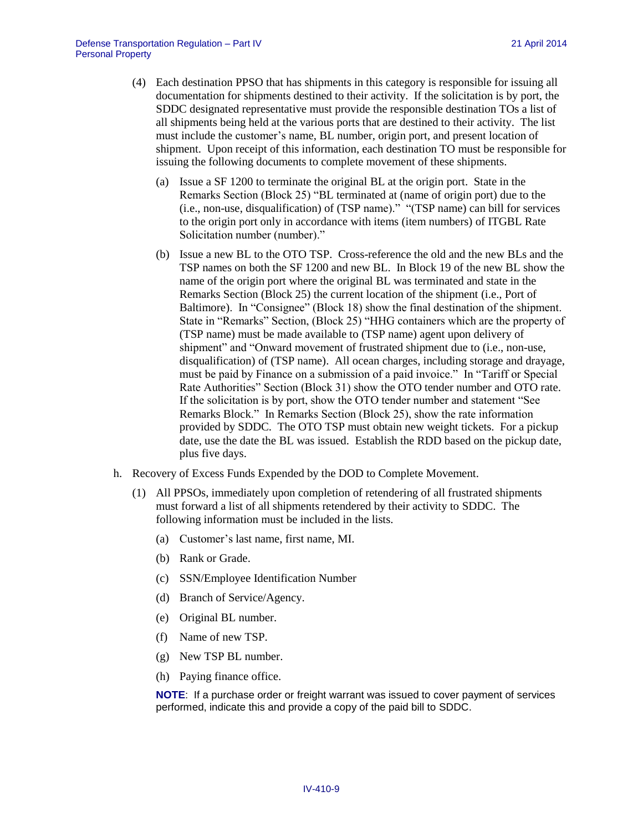- (4) Each destination PPSO that has shipments in this category is responsible for issuing all documentation for shipments destined to their activity. If the solicitation is by port, the SDDC designated representative must provide the responsible destination TOs a list of all shipments being held at the various ports that are destined to their activity. The list must include the customer's name, BL number, origin port, and present location of shipment. Upon receipt of this information, each destination TO must be responsible for issuing the following documents to complete movement of these shipments.
	- (a) Issue a SF 1200 to terminate the original BL at the origin port. State in the Remarks Section (Block 25) "BL terminated at (name of origin port) due to the (i.e., non-use, disqualification) of (TSP name)." "(TSP name) can bill for services to the origin port only in accordance with items (item numbers) of ITGBL Rate Solicitation number (number)."
	- (b) Issue a new BL to the OTO TSP. Cross-reference the old and the new BLs and the TSP names on both the SF 1200 and new BL. In Block 19 of the new BL show the name of the origin port where the original BL was terminated and state in the Remarks Section (Block 25) the current location of the shipment (i.e., Port of Baltimore). In "Consignee" (Block 18) show the final destination of the shipment. State in "Remarks" Section, (Block 25) "HHG containers which are the property of (TSP name) must be made available to (TSP name) agent upon delivery of shipment" and "Onward movement of frustrated shipment due to (i.e., non-use, disqualification) of (TSP name). All ocean charges, including storage and drayage, must be paid by Finance on a submission of a paid invoice." In "Tariff or Special Rate Authorities" Section (Block 31) show the OTO tender number and OTO rate. If the solicitation is by port, show the OTO tender number and statement "See Remarks Block." In Remarks Section (Block 25), show the rate information provided by SDDC. The OTO TSP must obtain new weight tickets. For a pickup date, use the date the BL was issued. Establish the RDD based on the pickup date, plus five days.
- h. Recovery of Excess Funds Expended by the DOD to Complete Movement.
	- (1) All PPSOs, immediately upon completion of retendering of all frustrated shipments must forward a list of all shipments retendered by their activity to SDDC. The following information must be included in the lists.
		- (a) Customer's last name, first name, MI.
		- (b) Rank or Grade.
		- (c) SSN/Employee Identification Number
		- (d) Branch of Service/Agency.
		- (e) Original BL number.
		- (f) Name of new TSP.
		- (g) New TSP BL number.
		- (h) Paying finance office.

**NOTE**: If a purchase order or freight warrant was issued to cover payment of services performed, indicate this and provide a copy of the paid bill to SDDC.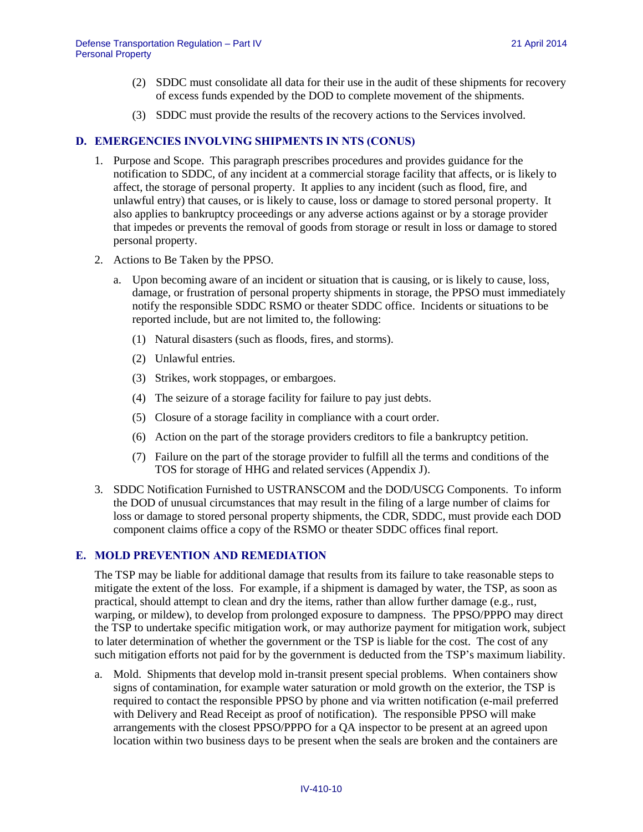- (2) SDDC must consolidate all data for their use in the audit of these shipments for recovery of excess funds expended by the DOD to complete movement of the shipments.
- (3) SDDC must provide the results of the recovery actions to the Services involved.

#### **D. EMERGENCIES INVOLVING SHIPMENTS IN NTS (CONUS)**

- 1. Purpose and Scope. This paragraph prescribes procedures and provides guidance for the notification to SDDC, of any incident at a commercial storage facility that affects, or is likely to affect, the storage of personal property. It applies to any incident (such as flood, fire, and unlawful entry) that causes, or is likely to cause, loss or damage to stored personal property. It also applies to bankruptcy proceedings or any adverse actions against or by a storage provider that impedes or prevents the removal of goods from storage or result in loss or damage to stored personal property.
- 2. Actions to Be Taken by the PPSO.
	- a. Upon becoming aware of an incident or situation that is causing, or is likely to cause, loss, damage, or frustration of personal property shipments in storage, the PPSO must immediately notify the responsible SDDC RSMO or theater SDDC office. Incidents or situations to be reported include, but are not limited to, the following:
		- (1) Natural disasters (such as floods, fires, and storms).
		- (2) Unlawful entries.
		- (3) Strikes, work stoppages, or embargoes.
		- (4) The seizure of a storage facility for failure to pay just debts.
		- (5) Closure of a storage facility in compliance with a court order.
		- (6) Action on the part of the storage providers creditors to file a bankruptcy petition.
		- (7) Failure on the part of the storage provider to fulfill all the terms and conditions of the TOS for storage of HHG and related services (Appendix J).
- 3. SDDC Notification Furnished to USTRANSCOM and the DOD/USCG Components. To inform the DOD of unusual circumstances that may result in the filing of a large number of claims for loss or damage to stored personal property shipments, the CDR, SDDC, must provide each DOD component claims office a copy of the RSMO or theater SDDC offices final report.

#### <span id="page-9-0"></span>**E. MOLD PREVENTION AND REMEDIATION**

The TSP may be liable for additional damage that results from its failure to take reasonable steps to mitigate the extent of the loss. For example, if a shipment is damaged by water, the TSP, as soon as practical, should attempt to clean and dry the items, rather than allow further damage (e.g., rust, warping, or mildew), to develop from prolonged exposure to dampness. The PPSO/PPPO may direct the TSP to undertake specific mitigation work, or may authorize payment for mitigation work, subject to later determination of whether the government or the TSP is liable for the cost. The cost of any such mitigation efforts not paid for by the government is deducted from the TSP's maximum liability.

a. Mold. Shipments that develop mold in-transit present special problems. When containers show signs of contamination, for example water saturation or mold growth on the exterior, the TSP is required to contact the responsible PPSO by phone and via written notification (e-mail preferred with Delivery and Read Receipt as proof of notification). The responsible PPSO will make arrangements with the closest PPSO/PPPO for a QA inspector to be present at an agreed upon location within two business days to be present when the seals are broken and the containers are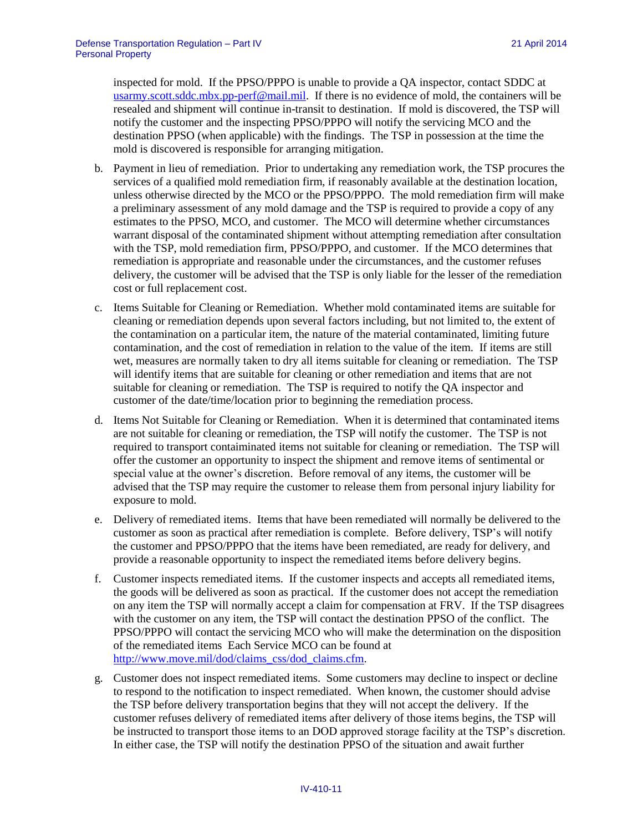inspected for mold. If the PPSO/PPPO is unable to provide a QA inspector, contact SDDC at [usarmy.scott.sddc.mbx.pp-perf@mail.mil.](mailto:usarmy.scott.sddc.mbx.pp-perf@mail.mil) If there is no evidence of mold, the containers will be resealed and shipment will continue in-transit to destination. If mold is discovered, the TSP will notify the customer and the inspecting PPSO/PPPO will notify the servicing MCO and the destination PPSO (when applicable) with the findings. The TSP in possession at the time the mold is discovered is responsible for arranging mitigation.

- b. Payment in lieu of remediation. Prior to undertaking any remediation work, the TSP procures the services of a qualified mold remediation firm, if reasonably available at the destination location, unless otherwise directed by the MCO or the PPSO/PPPO. The mold remediation firm will make a preliminary assessment of any mold damage and the TSP is required to provide a copy of any estimates to the PPSO, MCO, and customer. The MCO will determine whether circumstances warrant disposal of the contaminated shipment without attempting remediation after consultation with the TSP, mold remediation firm, PPSO/PPPO, and customer. If the MCO determines that remediation is appropriate and reasonable under the circumstances, and the customer refuses delivery, the customer will be advised that the TSP is only liable for the lesser of the remediation cost or full replacement cost.
- c. Items Suitable for Cleaning or Remediation. Whether mold contaminated items are suitable for cleaning or remediation depends upon several factors including, but not limited to, the extent of the contamination on a particular item, the nature of the material contaminated, limiting future contamination, and the cost of remediation in relation to the value of the item. If items are still wet, measures are normally taken to dry all items suitable for cleaning or remediation. The TSP will identify items that are suitable for cleaning or other remediation and items that are not suitable for cleaning or remediation. The TSP is required to notify the QA inspector and customer of the date/time/location prior to beginning the remediation process.
- d. Items Not Suitable for Cleaning or Remediation. When it is determined that contaminated items are not suitable for cleaning or remediation, the TSP will notify the customer. The TSP is not required to transport contaiminated items not suitable for cleaning or remediation. The TSP will offer the customer an opportunity to inspect the shipment and remove items of sentimental or special value at the owner's discretion. Before removal of any items, the customer will be advised that the TSP may require the customer to release them from personal injury liability for exposure to mold.
- e. Delivery of remediated items. Items that have been remediated will normally be delivered to the customer as soon as practical after remediation is complete. Before delivery, TSP's will notify the customer and PPSO/PPPO that the items have been remediated, are ready for delivery, and provide a reasonable opportunity to inspect the remediated items before delivery begins.
- f. Customer inspects remediated items. If the customer inspects and accepts all remediated items, the goods will be delivered as soon as practical. If the customer does not accept the remediation on any item the TSP will normally accept a claim for compensation at FRV. If the TSP disagrees with the customer on any item, the TSP will contact the destination PPSO of the conflict. The PPSO/PPPO will contact the servicing MCO who will make the determination on the disposition of the remediated items Each Service MCO can be found at [http://www.move.mil/dod/claims\\_css/dod\\_claims.cfm.](http://www.move.mil/dod/claims_css/dod_claims.cfm)
- g. Customer does not inspect remediated items. Some customers may decline to inspect or decline to respond to the notification to inspect remediated. When known, the customer should advise the TSP before delivery transportation begins that they will not accept the delivery. If the customer refuses delivery of remediated items after delivery of those items begins, the TSP will be instructed to transport those items to an DOD approved storage facility at the TSP's discretion. In either case, the TSP will notify the destination PPSO of the situation and await further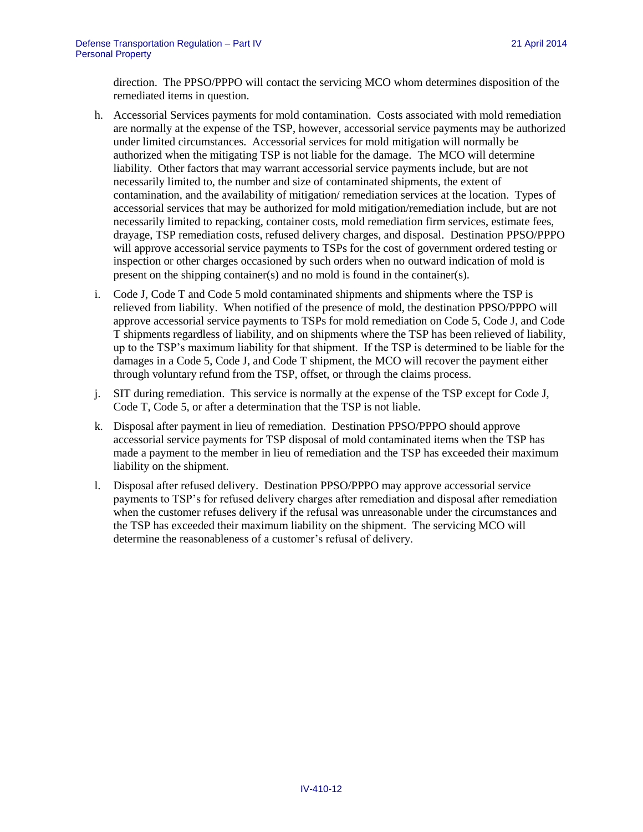direction. The PPSO/PPPO will contact the servicing MCO whom determines disposition of the remediated items in question.

- h. Accessorial Services payments for mold contamination. Costs associated with mold remediation are normally at the expense of the TSP, however, accessorial service payments may be authorized under limited circumstances. Accessorial services for mold mitigation will normally be authorized when the mitigating TSP is not liable for the damage. The MCO will determine liability. Other factors that may warrant accessorial service payments include, but are not necessarily limited to, the number and size of contaminated shipments, the extent of contamination, and the availability of mitigation/ remediation services at the location. Types of accessorial services that may be authorized for mold mitigation/remediation include, but are not necessarily limited to repacking, container costs, mold remediation firm services, estimate fees, drayage, TSP remediation costs, refused delivery charges, and disposal. Destination PPSO/PPPO will approve accessorial service payments to TSPs for the cost of government ordered testing or inspection or other charges occasioned by such orders when no outward indication of mold is present on the shipping container(s) and no mold is found in the container(s).
- i. Code J, Code T and Code 5 mold contaminated shipments and shipments where the TSP is relieved from liability. When notified of the presence of mold, the destination PPSO/PPPO will approve accessorial service payments to TSPs for mold remediation on Code 5, Code J, and Code T shipments regardless of liability, and on shipments where the TSP has been relieved of liability, up to the TSP's maximum liability for that shipment. If the TSP is determined to be liable for the damages in a Code 5, Code J, and Code T shipment, the MCO will recover the payment either through voluntary refund from the TSP, offset, or through the claims process.
- j. SIT during remediation. This service is normally at the expense of the TSP except for Code J, Code T, Code 5, or after a determination that the TSP is not liable.
- k. Disposal after payment in lieu of remediation. Destination PPSO/PPPO should approve accessorial service payments for TSP disposal of mold contaminated items when the TSP has made a payment to the member in lieu of remediation and the TSP has exceeded their maximum liability on the shipment.
- l. Disposal after refused delivery. Destination PPSO/PPPO may approve accessorial service payments to TSP's for refused delivery charges after remediation and disposal after remediation when the customer refuses delivery if the refusal was unreasonable under the circumstances and the TSP has exceeded their maximum liability on the shipment. The servicing MCO will determine the reasonableness of a customer's refusal of delivery.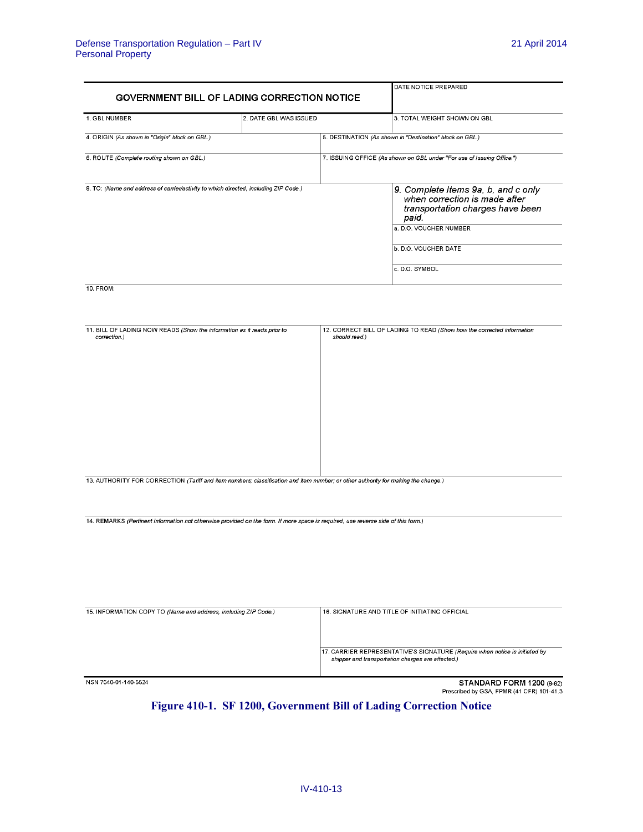| <b>GOVERNMENT BILL OF LADING CORRECTION NOTICE</b>                                   | DATE NOTICE PREPARED   |                                                                                                                                                                                       |  |  |  |  |
|--------------------------------------------------------------------------------------|------------------------|---------------------------------------------------------------------------------------------------------------------------------------------------------------------------------------|--|--|--|--|
|                                                                                      |                        |                                                                                                                                                                                       |  |  |  |  |
| 1. GBL NUMBER                                                                        | 2. DATE GBL WAS ISSUED | 3. TOTAL WEIGHT SHOWN ON GBL                                                                                                                                                          |  |  |  |  |
| 4. ORIGIN (As shown in "Origin" block on GBL.)                                       |                        | 5. DESTINATION (As shown in "Destination" block on GBL.)                                                                                                                              |  |  |  |  |
| 6. ROUTE (Complete routing shown on GBL)                                             |                        | 7. ISSUING OFFICE (As shown on GBL under "For use of Issuing Office.")                                                                                                                |  |  |  |  |
| 8. TO: (Name and address of carrier/activity to which directed, including ZIP Code.) |                        | 9. Complete Items 9a, b, and c only<br>when correction is made after<br>transportation charges have been<br>paid.<br>a. D.O. VOUCHER NUMBER<br>b. D.O. VOUCHER DATE<br>c. D.O. SYMBOL |  |  |  |  |

 $10.$  FROM:

| 11. BILL OF LADING NOW READS (Show the information as it reads prior to<br>correction.)                                           | 12. CORRECT BILL OF LADING TO READ (Show how the corrected information<br>should read.) |
|-----------------------------------------------------------------------------------------------------------------------------------|-----------------------------------------------------------------------------------------|
|                                                                                                                                   |                                                                                         |
|                                                                                                                                   |                                                                                         |
|                                                                                                                                   |                                                                                         |
|                                                                                                                                   |                                                                                         |
|                                                                                                                                   |                                                                                         |
|                                                                                                                                   |                                                                                         |
|                                                                                                                                   |                                                                                         |
|                                                                                                                                   |                                                                                         |
| 13. AUTHORITY FOR CORRECTION (Tariff and item numbers; classification and item number; or other authority for making the change.) |                                                                                         |
|                                                                                                                                   |                                                                                         |

14. REMARKS (Pertinent information not otherwise provided on the form. If more space is required, use reverse side of this form.)

| 15. INFORMATION COPY TO (Name and address, including ZIP Code.) | 16. SIGNATURE AND TITLE OF INITIATING OFFICIAL                                                                                   |
|-----------------------------------------------------------------|----------------------------------------------------------------------------------------------------------------------------------|
|                                                                 | 17. CARRIER REPRESENTATIVE'S SIGNATURE (Require when notice is initiated by<br>shipper and transportation charges are affected.) |
| NSN 7540-01-140-5524                                            | STANDARD FORM 1200 (8-82)<br>Prescribed by GSA, FPMR (41 CFR) 101-41.3                                                           |

## <span id="page-12-0"></span>**Figure 410-1. SF 1200, Government Bill of Lading Correction Notice**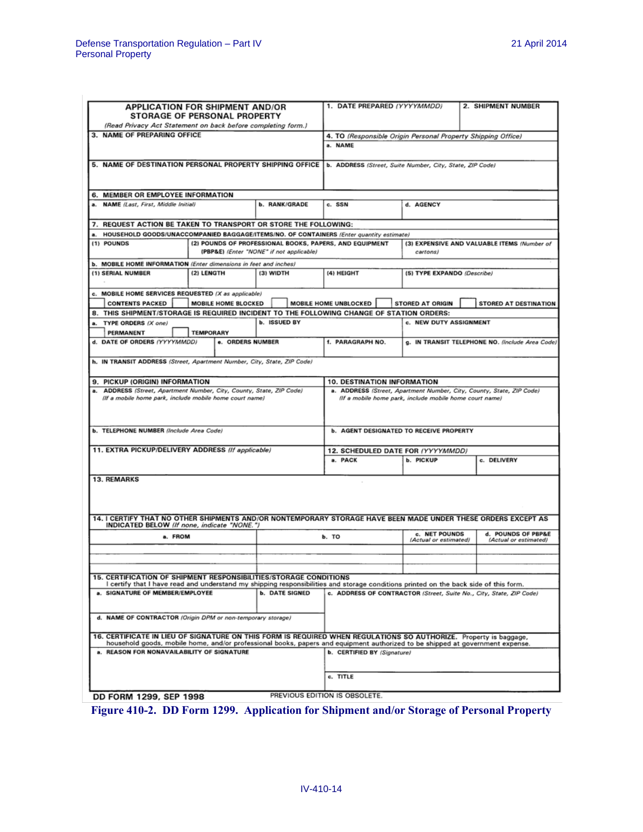| <b>APPLICATION FOR SHIPMENT AND/OR</b><br>STORAGE OF PERSONAL PROPERTY<br>(Read Privacy Act Statement on back before completing form.)                                                                    |                  |                                          |                      |                       | 1. DATE PREPARED (YYYYMMDD)<br>2. SHIPMENT NUMBER                                                                               |                                                  |                                                 |                                                                     |  |  |  |
|-----------------------------------------------------------------------------------------------------------------------------------------------------------------------------------------------------------|------------------|------------------------------------------|----------------------|-----------------------|---------------------------------------------------------------------------------------------------------------------------------|--------------------------------------------------|-------------------------------------------------|---------------------------------------------------------------------|--|--|--|
| 3. NAME OF PREPARING OFFICE                                                                                                                                                                               |                  |                                          |                      |                       | 4. TO (Responsible Origin Personal Property Shipping Office)                                                                    |                                                  |                                                 |                                                                     |  |  |  |
|                                                                                                                                                                                                           |                  |                                          |                      |                       | a. NAME                                                                                                                         |                                                  |                                                 |                                                                     |  |  |  |
| 5. NAME OF DESTINATION PERSONAL PROPERTY SHIPPING OFFICE                                                                                                                                                  |                  |                                          |                      |                       | b. ADDRESS (Street, Suite Number, City, State, ZIP Code)                                                                        |                                                  |                                                 |                                                                     |  |  |  |
| 6. MEMBER OR EMPLOYEE INFORMATION                                                                                                                                                                         |                  |                                          |                      |                       |                                                                                                                                 |                                                  |                                                 |                                                                     |  |  |  |
| <b>NAME</b> (Last, First, Middle Initial)                                                                                                                                                                 |                  |                                          | <b>b. RANK/GRADE</b> |                       | c. SSN<br>d. AGENCY                                                                                                             |                                                  |                                                 |                                                                     |  |  |  |
| 7. REQUEST ACTION BE TAKEN TO TRANSPORT OR STORE THE FOLLOWING:                                                                                                                                           |                  |                                          |                      |                       |                                                                                                                                 |                                                  |                                                 |                                                                     |  |  |  |
| HOUSEHOLD GOODS/UNACCOMPANIED BAGGAGE/ITEMS/NO. OF CONTAINERS (Enter quantity estimate)                                                                                                                   |                  |                                          |                      |                       |                                                                                                                                 |                                                  |                                                 |                                                                     |  |  |  |
| (1) POUNDS                                                                                                                                                                                                |                  | (PBP&E) (Enter "NONE" if not applicable) |                      |                       | (2) POUNDS OF PROFESSIONAL BOOKS, PAPERS, AND EQUIPMENT<br>(3) EXPENSIVE AND VALUABLE ITEMS (Number of<br>cartons)              |                                                  |                                                 |                                                                     |  |  |  |
| b. MOBILE HOME INFORMATION (Enter dimensions in feet and inches)                                                                                                                                          |                  |                                          |                      |                       |                                                                                                                                 |                                                  |                                                 |                                                                     |  |  |  |
| (1) SERIAL NUMBER                                                                                                                                                                                         | (2) LENGTH       |                                          | (3) WIDTH            |                       | (4) HEIGHT                                                                                                                      | (5) TYPE EXPANDO (Describe)                      |                                                 |                                                                     |  |  |  |
| c. MOBILE HOME SERVICES REQUESTED (X as applicable)<br><b>CONTENTS PACKED</b>                                                                                                                             |                  | MOBILE HOME BLOCKED                      |                      |                       | MOBILE HOME UNBLOCKED                                                                                                           | STORED AT ORIGIN<br><b>STORED AT DESTINATION</b> |                                                 |                                                                     |  |  |  |
| 8. THIS SHIPMENT/STORAGE IS REQUIRED INCIDENT TO THE FOLLOWING CHANGE OF STATION ORDERS:                                                                                                                  |                  |                                          |                      |                       |                                                                                                                                 |                                                  |                                                 |                                                                     |  |  |  |
| TYPE ORDERS (X one)<br>a.<br>PERMANENT                                                                                                                                                                    | <b>TEMPORARY</b> |                                          | <b>b. ISSUED BY</b>  |                       |                                                                                                                                 |                                                  | c. NEW DUTY ASSIGNMENT                          |                                                                     |  |  |  |
| d. DATE OF ORDERS (YYYYMMDD)                                                                                                                                                                              |                  | e. ORDERS NUMBER                         |                      |                       | f. PARAGRAPH NO.                                                                                                                |                                                  | g. IN TRANSIT TELEPHONE NO. (Include Area Code) |                                                                     |  |  |  |
| h. IN TRANSIT ADDRESS (Street, Apartment Number, City, State, ZIP Code)                                                                                                                                   |                  |                                          |                      |                       |                                                                                                                                 |                                                  |                                                 |                                                                     |  |  |  |
| 9. PICKUP (ORIGIN) INFORMATION                                                                                                                                                                            |                  |                                          |                      |                       | <b>10. DESTINATION INFORMATION</b>                                                                                              |                                                  |                                                 |                                                                     |  |  |  |
| a. ADDRESS (Street, Apartment Number, City, County, State, ZIP Code)<br>(If a mobile home park, include mobile home court name)                                                                           |                  |                                          |                      |                       | a. ADDRESS (Street, Apartment Number, City, County, State, ZIP Code)<br>(If a mobile home park, include mobile home court name) |                                                  |                                                 |                                                                     |  |  |  |
| b. TELEPHONE NUMBER (Include Area Code)                                                                                                                                                                   |                  |                                          |                      |                       | <b>b. AGENT DESIGNATED TO RECEIVE PROPERTY</b>                                                                                  |                                                  |                                                 |                                                                     |  |  |  |
| 11. EXTRA PICKUP/DELIVERY ADDRESS (If applicable)                                                                                                                                                         |                  |                                          |                      |                       | 12. SCHEDULED DATE FOR (YYYYMMDD)                                                                                               |                                                  |                                                 |                                                                     |  |  |  |
|                                                                                                                                                                                                           |                  |                                          |                      |                       | a. PACK                                                                                                                         |                                                  | b. PICKUP                                       | c. DELIVERY                                                         |  |  |  |
| <b>13. REMARKS</b><br>14. I CERTIFY THAT NO OTHER SHIPMENTS AND/OR NONTEMPORARY STORAGE HAVE BEEN MADE UNDER THESE ORDERS EXCEPT AS                                                                       |                  |                                          |                      |                       |                                                                                                                                 |                                                  |                                                 |                                                                     |  |  |  |
| INDICATED BELOW (If none, indicate "NONE.")<br>a. FROM                                                                                                                                                    |                  |                                          |                      |                       | b. TO                                                                                                                           |                                                  | c. NET POUNDS<br>(Actual or estimated)          | d. POUNDS OF PBP&E<br>(Actual or estimated)                         |  |  |  |
|                                                                                                                                                                                                           |                  |                                          |                      |                       |                                                                                                                                 |                                                  |                                                 |                                                                     |  |  |  |
|                                                                                                                                                                                                           |                  |                                          |                      |                       |                                                                                                                                 |                                                  |                                                 |                                                                     |  |  |  |
| 15. CERTIFICATION OF SHIPMENT RESPONSIBILITIES/STORAGE CONDITIONS<br>I certify that I have read and understand my shipping responsibilities and storage conditions printed on the back side of this form. |                  |                                          |                      |                       |                                                                                                                                 |                                                  |                                                 |                                                                     |  |  |  |
| a. SIGNATURE OF MEMBER/EMPLOYEE                                                                                                                                                                           |                  |                                          |                      | <b>b. DATE SIGNED</b> |                                                                                                                                 |                                                  |                                                 | c. ADDRESS OF CONTRACTOR (Street, Suite No., City, State, ZIP Code) |  |  |  |
| d. NAME OF CONTRACTOR (Origin DPM or non-temporary storage)                                                                                                                                               |                  |                                          |                      |                       |                                                                                                                                 |                                                  |                                                 |                                                                     |  |  |  |
| 16. CERTIFICATE IN LIEU OF SIGNATURE ON THIS FORM IS REQUIRED WHEN REGULATIONS SO AUTHORIZE. Property is baggage,                                                                                         |                  |                                          |                      |                       |                                                                                                                                 |                                                  |                                                 |                                                                     |  |  |  |
| household goods, mobile home, and/or professional books, papers and equipment authorized to be shipped at government expense.<br>a. REASON FOR NONAVAILABILITY OF SIGNATURE                               |                  |                                          |                      |                       | b. CERTIFIED BY (Signature)                                                                                                     |                                                  |                                                 |                                                                     |  |  |  |
|                                                                                                                                                                                                           |                  |                                          |                      |                       | c. TITLE                                                                                                                        |                                                  |                                                 |                                                                     |  |  |  |
| DD FORM 1299, SEP 1998                                                                                                                                                                                    |                  |                                          |                      |                       | PREVIOUS EDITION IS OBSOLETE.                                                                                                   |                                                  |                                                 |                                                                     |  |  |  |

<span id="page-13-0"></span>**Figure 410-2. DD Form 1299. Application for Shipment and/or Storage of Personal Property**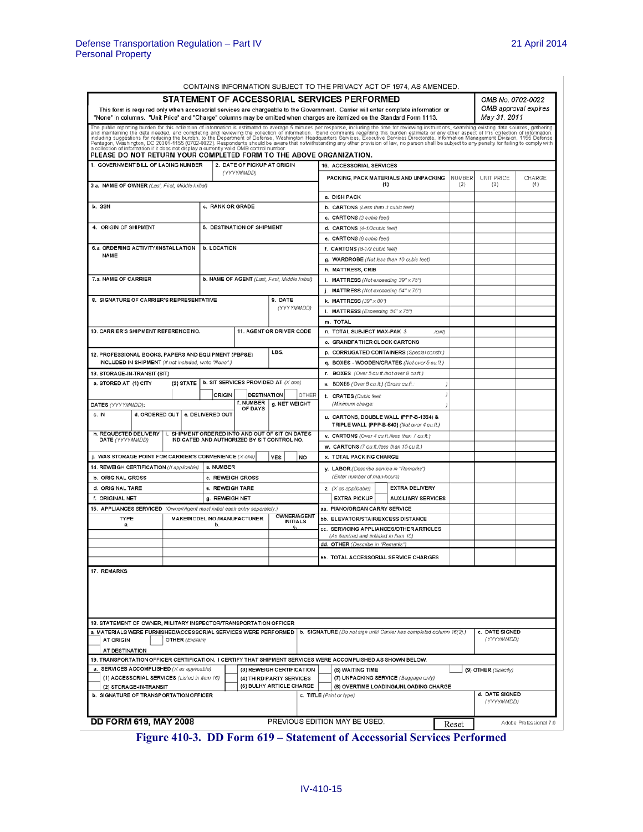|  |  | CONTAINS INFORMATION SUBJECT TO THE PRIVACY ACT OF 1974. AS AMENDED. |
|--|--|----------------------------------------------------------------------|
|  |  |                                                                      |

| This form is required only when accessorial services are chargeable to the Government. Carrier will enter complete information or<br>"None" in columns. "Unit Price" and "Charge" columns may be omitted when charges are itemized on the Standard Form 1113.                                                                                                                                        |                        |               |                                                |                                       |                                                                                      | STATEMENT OF ACCESSORIAL SERVICES PERFORMED                                 |     | CONTAINS INFORMATION SUBJECT TO THE PRIVACT ACT OF 1974, AS AMENDED |       |        | OMB No. 0702-0022<br>May 31, 2011 | OMB approval expires   |
|------------------------------------------------------------------------------------------------------------------------------------------------------------------------------------------------------------------------------------------------------------------------------------------------------------------------------------------------------------------------------------------------------|------------------------|---------------|------------------------------------------------|---------------------------------------|--------------------------------------------------------------------------------------|-----------------------------------------------------------------------------|-----|---------------------------------------------------------------------|-------|--------|-----------------------------------|------------------------|
| The public reporting burden for this collection of information is estimated to average 5 minutes per response, including the time for reviewing instructions, searching existing data sources, gathering<br>and maintaining the d<br>a collection of information if it does not display a currently valid OMB control number.<br>PLEASE DO NOT RETURN YOUR COMPLETED FORM TO THE ABOVE ORGANIZATION. |                        |               |                                                |                                       |                                                                                      |                                                                             |     |                                                                     |       |        |                                   |                        |
| 1. GOVERNMENT BILL OF LADING NUMBER                                                                                                                                                                                                                                                                                                                                                                  |                        |               | 2. DATE OF PICKUP AT ORIGIN                    |                                       |                                                                                      | 16. ACCESSORIAL SERVICES                                                    |     |                                                                     |       |        |                                   |                        |
|                                                                                                                                                                                                                                                                                                                                                                                                      |                        |               | (YYYYMMDD)                                     |                                       |                                                                                      |                                                                             |     | PACKING, PACK MATERIALS AND UNPACKING                               |       | NUMBER | UNIT PRICE                        | CHARGE                 |
| 3.a. NAME OF OWNER (Last, First, Middle Initial)                                                                                                                                                                                                                                                                                                                                                     |                        |               |                                                |                                       |                                                                                      |                                                                             | (1) |                                                                     |       | (2)    | (3)                               | (4)                    |
| b. SSN                                                                                                                                                                                                                                                                                                                                                                                               |                        |               | c. RANK OR GRADE                               |                                       |                                                                                      | a. DISH PACK                                                                |     |                                                                     |       |        |                                   |                        |
|                                                                                                                                                                                                                                                                                                                                                                                                      |                        |               |                                                |                                       |                                                                                      | b. CARTONS (Less than 3 cubic feet)                                         |     |                                                                     |       |        |                                   |                        |
| 4. ORIGIN OF SHIPMENT                                                                                                                                                                                                                                                                                                                                                                                |                        |               | 5. DESTINATION OF SHIPMENT                     |                                       |                                                                                      | c. CARTONS (3 cubic feet)                                                   |     |                                                                     |       |        |                                   |                        |
|                                                                                                                                                                                                                                                                                                                                                                                                      |                        |               |                                                |                                       |                                                                                      | d. CARTONS (4-1/2cubic feet)<br>e. CARTONS (8 cubic feet)                   |     |                                                                     |       |        |                                   |                        |
| 6.a. ORDERING ACTIVITY/INSTALLATION                                                                                                                                                                                                                                                                                                                                                                  |                        | b. LOCATION   |                                                |                                       |                                                                                      | f. CARTONS (8-1/2 cubic feet)                                               |     |                                                                     |       |        |                                   |                        |
| NAME                                                                                                                                                                                                                                                                                                                                                                                                 |                        |               |                                                |                                       |                                                                                      | g. WARDROBE (Not less than 10 cubic feet)                                   |     |                                                                     |       |        |                                   |                        |
|                                                                                                                                                                                                                                                                                                                                                                                                      |                        |               |                                                |                                       |                                                                                      | h. MATTRESS, CRIB                                                           |     |                                                                     |       |        |                                   |                        |
| 7.a. NAME OF CARRIER                                                                                                                                                                                                                                                                                                                                                                                 |                        |               | b. NAME OF AGENT (Last, First, Middle Initial) |                                       |                                                                                      | i. MATTRESS (Not exceeding $39" \times 75"$ )                               |     |                                                                     |       |        |                                   |                        |
|                                                                                                                                                                                                                                                                                                                                                                                                      |                        |               |                                                |                                       |                                                                                      | j. MATTRESS (Not exceeding $54" \times 75"$ )                               |     |                                                                     |       |        |                                   |                        |
| 8. SIGNATURE OF CARRIER'S REPRESENTATIVE                                                                                                                                                                                                                                                                                                                                                             |                        |               |                                                | 9. DATE                               |                                                                                      | k. MATTRESS $(39" \times 80")$                                              |     |                                                                     |       |        |                                   |                        |
|                                                                                                                                                                                                                                                                                                                                                                                                      |                        |               |                                                | (YYYYMMDD)                            |                                                                                      | I. MATTRESS (Exceeding 54" x 75")                                           |     |                                                                     |       |        |                                   |                        |
|                                                                                                                                                                                                                                                                                                                                                                                                      |                        |               |                                                |                                       |                                                                                      | m. TOTAL                                                                    |     |                                                                     |       |        |                                   |                        |
| 10. CARRIER'S SHIPMENT REFERENCE NO.                                                                                                                                                                                                                                                                                                                                                                 |                        |               |                                                | 11. AGENT OR DRIVER CODE              |                                                                                      | n. TOTAL SUBJECT MAX-PAK \$                                                 |     |                                                                     | /cwt) |        |                                   |                        |
|                                                                                                                                                                                                                                                                                                                                                                                                      |                        |               |                                                |                                       |                                                                                      | o. GRANDFATHER CLOCK CARTONS                                                |     |                                                                     |       |        |                                   |                        |
| 12. PROFESSIONAL BOOKS, PAPERS AND EQUIPMENT (PBP&E)                                                                                                                                                                                                                                                                                                                                                 |                        |               |                                                | LBS.                                  |                                                                                      |                                                                             |     | p. CORRUGATED CONTAINERS (Special constr.)                          |       |        |                                   |                        |
| INCLUDED IN SHIPMENT (If not included, write "None".)                                                                                                                                                                                                                                                                                                                                                |                        |               |                                                |                                       |                                                                                      |                                                                             |     | q. BOXES - WOODEN/CRATES (Not over 5 cu.ft.)                        |       |        |                                   |                        |
| 13. STORAGE-IN-TRANSIT (SIT)                                                                                                                                                                                                                                                                                                                                                                         |                        |               |                                                |                                       |                                                                                      | r. BOXES (Over 5 cu.ft./not over 8 cu.ft.)                                  |     |                                                                     |       |        |                                   |                        |
| a. STORED AT (1) CITY                                                                                                                                                                                                                                                                                                                                                                                | $(2)$ STATE            |               | b. SIT SERVICES PROVIDED AT (X ane)            |                                       |                                                                                      | s. BOXES (Over 8 cu.ft.) (Gross cu.ft.                                      |     |                                                                     | ł     |        |                                   |                        |
|                                                                                                                                                                                                                                                                                                                                                                                                      |                        | <b>ORIGIN</b> | <b>DESTINATION</b>                             | OTHER                                 |                                                                                      | t. CRATES (Cubic feet                                                       |     |                                                                     |       |        |                                   |                        |
| DATES (YYYYMMDD):                                                                                                                                                                                                                                                                                                                                                                                    |                        |               | f. NUMBER                                      | g. NET WEIGHT                         |                                                                                      | (Minimum charge:                                                            |     |                                                                     |       |        |                                   |                        |
| OF DAYS<br>d. ORDERED OUT   e. DELIVERED OUT<br>c. IN<br>h. REQUESTED DELIVERY   i. SHIPMENT ORDERED INTO AND OUT OF SIT ON DATES<br>INDICATED AND AUTHORIZED BY SIT CONTROL NO.                                                                                                                                                                                                                     |                        |               |                                                |                                       | u. CARTONS, DOUBLE WALL (PPP-B-1364) &<br>TRIPLE WALL (PPP-B-640) (Not over 4 cuft.) |                                                                             |     |                                                                     |       |        |                                   |                        |
|                                                                                                                                                                                                                                                                                                                                                                                                      |                        |               |                                                |                                       | v. CARTONS (Over 4 cu.ft/less than 7 cu.ft.)                                         |                                                                             |     |                                                                     |       |        |                                   |                        |
| DATE (YYYYMMDD)                                                                                                                                                                                                                                                                                                                                                                                      |                        |               |                                                |                                       |                                                                                      | w. CARTONS (7 cu.ft/less than 15 cu.ft.)                                    |     |                                                                     |       |        |                                   |                        |
| j. WAS STORAGE POINT FOR CARRIER'S CONVENIENCE $(X$ ane)                                                                                                                                                                                                                                                                                                                                             |                        |               |                                                | <b>YES</b><br><b>NO</b>               |                                                                                      | <b>x. TOTAL PACKING CHARGE</b>                                              |     |                                                                     |       |        |                                   |                        |
| 14. REWEIGH CERTIFICATION (If applicable)                                                                                                                                                                                                                                                                                                                                                            |                        | a. NUMBER     |                                                |                                       |                                                                                      | y. LABOR (Describe service in "Remarks")                                    |     |                                                                     |       |        |                                   |                        |
| <b>b. ORIGINAL GROSS</b>                                                                                                                                                                                                                                                                                                                                                                             |                        |               | c. REWEIGH GROSS                               |                                       |                                                                                      | (Enter number of man-hours)                                                 |     |                                                                     |       |        |                                   |                        |
| d. ORIGINAL TARE                                                                                                                                                                                                                                                                                                                                                                                     |                        |               | e. REWEIGH TARE                                |                                       |                                                                                      | $z.$ ( $X$ as applicable)                                                   |     | EXTRA DELIVERY                                                      |       |        |                                   |                        |
| f. ORIGINAL NET                                                                                                                                                                                                                                                                                                                                                                                      |                        |               | g. REWEIGH NET                                 |                                       |                                                                                      | <b>EXTRA PICKUP</b>                                                         |     | <b>AUXILIARY SERVICES</b>                                           |       |        |                                   |                        |
| 15. APPLIANCES SERVICED (Owner/Agent must initial each entry separately.)                                                                                                                                                                                                                                                                                                                            |                        |               |                                                |                                       |                                                                                      | aa. PIANO/ORGAN CARRY SERVICE                                               |     |                                                                     |       |        |                                   |                        |
| TYPE                                                                                                                                                                                                                                                                                                                                                                                                 |                        | b.            | MAKE/MODEL NO./MANUFACTURER                    | <b>OWNER/AGENT</b><br><b>INITIALS</b> |                                                                                      | bb. ELEVATOR/STAIR/EXCESS DISTANCE                                          |     |                                                                     |       |        |                                   |                        |
| а.                                                                                                                                                                                                                                                                                                                                                                                                   |                        |               |                                                | c.                                    |                                                                                      |                                                                             |     | cc. SERVICING APPLIANCES/OTHER ARTICLES                             |       |        |                                   |                        |
|                                                                                                                                                                                                                                                                                                                                                                                                      |                        |               |                                                |                                       |                                                                                      | (As itemized and initialed in Item 15)<br>dd. OTHER (Describe in "Remarks") |     |                                                                     |       |        |                                   |                        |
|                                                                                                                                                                                                                                                                                                                                                                                                      |                        |               |                                                |                                       |                                                                                      |                                                                             |     |                                                                     |       |        |                                   |                        |
|                                                                                                                                                                                                                                                                                                                                                                                                      |                        |               |                                                |                                       |                                                                                      |                                                                             |     | ee. TOTAL ACCESSORIAL SERVICE CHARGES                               |       |        |                                   |                        |
| 17. REMARKS                                                                                                                                                                                                                                                                                                                                                                                          |                        |               |                                                |                                       |                                                                                      |                                                                             |     |                                                                     |       |        |                                   |                        |
| 18. STATEMENT OF OWNER, MILITARY INSPECTOR/TRANSPORTATION OFFICER                                                                                                                                                                                                                                                                                                                                    |                        |               |                                                |                                       |                                                                                      |                                                                             |     |                                                                     |       |        |                                   |                        |
| a. MATERIALS WERE FURNISHED/ACCESSORIAL SERVICES WERE PERFORMED   b. SIGNATURE (Do not sign until Carrier has completed column 16(2).)<br><b>AT ORIGIN</b>                                                                                                                                                                                                                                           | <b>OTHER</b> (Explain) |               |                                                |                                       |                                                                                      |                                                                             |     |                                                                     |       |        | c. DATE SIGNED<br>(YYYYMMDD)      |                        |
| AT DESTINATION                                                                                                                                                                                                                                                                                                                                                                                       |                        |               |                                                |                                       |                                                                                      |                                                                             |     |                                                                     |       |        |                                   |                        |
| 19. TRANSPORTATION OFFICER CERTIFICATION. I CERTIFY THAT SHIPMENT SERVICES WERE ACCOMPLISHED AS SHOWN BELOW.                                                                                                                                                                                                                                                                                         |                        |               |                                                |                                       |                                                                                      |                                                                             |     |                                                                     |       |        |                                   |                        |
| a. SERVICES ACCOMPLISHED (X as applicable)                                                                                                                                                                                                                                                                                                                                                           |                        |               |                                                | (3) REWEIGH CERTIFICATION             |                                                                                      | (6) WAITING TIME                                                            |     |                                                                     |       |        | (9) OTHER (Specify)               |                        |
| (1) ACCESSORIAL SERVICES (Listed in Item 16)                                                                                                                                                                                                                                                                                                                                                         |                        |               |                                                | (4) THIRD PARTY SERVICES              |                                                                                      |                                                                             |     | (7) UNPACKING SERVICE (Baggage only)                                |       |        |                                   |                        |
| (2) STORAGE-IN-TRANSIT<br>b. SIGNATURE OF TRANSPORTATION OFFICER                                                                                                                                                                                                                                                                                                                                     |                        |               |                                                | (5) BULKY ARTICLE CHARGE              |                                                                                      | c. TITLE (Print or type)                                                    |     | (8) OVERTIME LOADING/UNLOADING CHARGE                               |       |        | d. DATE SIGNED<br>(YYYYMMDD)      |                        |
|                                                                                                                                                                                                                                                                                                                                                                                                      |                        |               |                                                |                                       |                                                                                      |                                                                             |     |                                                                     |       |        |                                   |                        |
| <b>DD FORM 619, MAY 2008</b>                                                                                                                                                                                                                                                                                                                                                                         |                        |               |                                                |                                       |                                                                                      | PREVIOUS EDITION MAY BE USED.                                               |     |                                                                     |       | Reset  |                                   | Adobe Professional 7.0 |

<span id="page-14-0"></span>**Figure 410-3. DD Form 619 – Statement of Accessorial Services Performed**